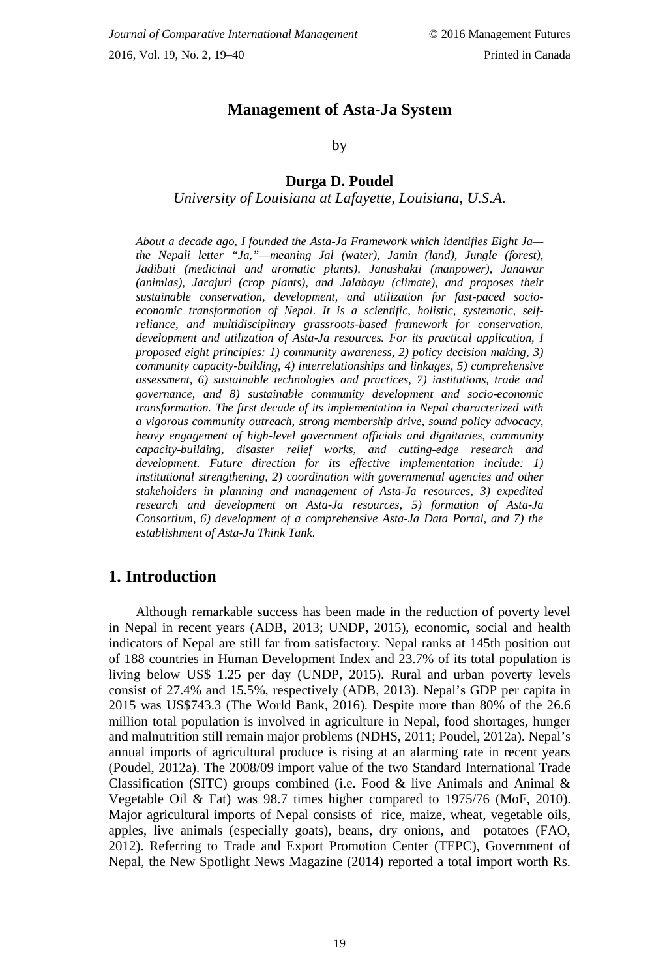## **Management of Asta-Ja System**

by

#### **Durga D. Poudel**

*University of Louisiana at Lafayette, Louisiana, U.S.A.*

*About a decade ago, I founded the Asta-Ja Framework which identifies Eight Ja the Nepali letter "Ja,"—meaning Jal (water), Jamin (land), Jungle (forest), Jadibuti (medicinal and aromatic plants), Janashakti (manpower), Janawar (animlas), Jarajuri (crop plants), and Jalabayu (climate), and proposes their sustainable conservation, development, and utilization for fast-paced socioeconomic transformation of Nepal. It is a scientific, holistic, systematic, selfreliance, and multidisciplinary grassroots-based framework for conservation, development and utilization of Asta-Ja resources. For its practical application, I proposed eight principles: 1) community awareness, 2) policy decision making, 3) community capacity-building, 4) interrelationships and linkages, 5) comprehensive assessment, 6) sustainable technologies and practices, 7) institutions, trade and governance, and 8) sustainable community development and socio-economic transformation. The first decade of its implementation in Nepal characterized with a vigorous community outreach, strong membership drive, sound policy advocacy, heavy engagement of high-level government officials and dignitaries, community capacity-building, disaster relief works, and cutting-edge research and development. Future direction for its effective implementation include: 1) institutional strengthening, 2) coordination with governmental agencies and other stakeholders in planning and management of Asta-Ja resources, 3) expedited research and development on Asta-Ja resources, 5) formation of Asta-Ja Consortium, 6) development of a comprehensive Asta-Ja Data Portal, and 7) the establishment of Asta-Ja Think Tank.*

## **1. Introduction**

Although remarkable success has been made in the reduction of poverty level in Nepal in recent years (ADB, 2013; UNDP, 2015), economic, social and health indicators of Nepal are still far from satisfactory. Nepal ranks at 145th position out of 188 countries in Human Development Index and 23.7% of its total population is living below US\$ 1.25 per day (UNDP, 2015). Rural and urban poverty levels consist of 27.4% and 15.5%, respectively (ADB, 2013). Nepal's GDP per capita in 2015 was US\$743.3 (The World Bank, 2016). Despite more than 80% of the 26.6 million total population is involved in agriculture in Nepal, food shortages, hunger and malnutrition still remain major problems (NDHS, 2011; Poudel, 2012a). Nepal's annual imports of agricultural produce is rising at an alarming rate in recent years (Poudel, 2012a). The 2008/09 import value of the two Standard International Trade Classification (SITC) groups combined (i.e. Food & live Animals and Animal  $\&$ Vegetable Oil & Fat) was 98.7 times higher compared to 1975/76 (MoF, 2010). Major agricultural imports of Nepal consists of rice, maize, wheat, vegetable oils, apples, live animals (especially goats), beans, dry onions, and potatoes (FAO, 2012). Referring to Trade and Export Promotion Center (TEPC), Government of Nepal, the New Spotlight News Magazine (2014) reported a total import worth Rs.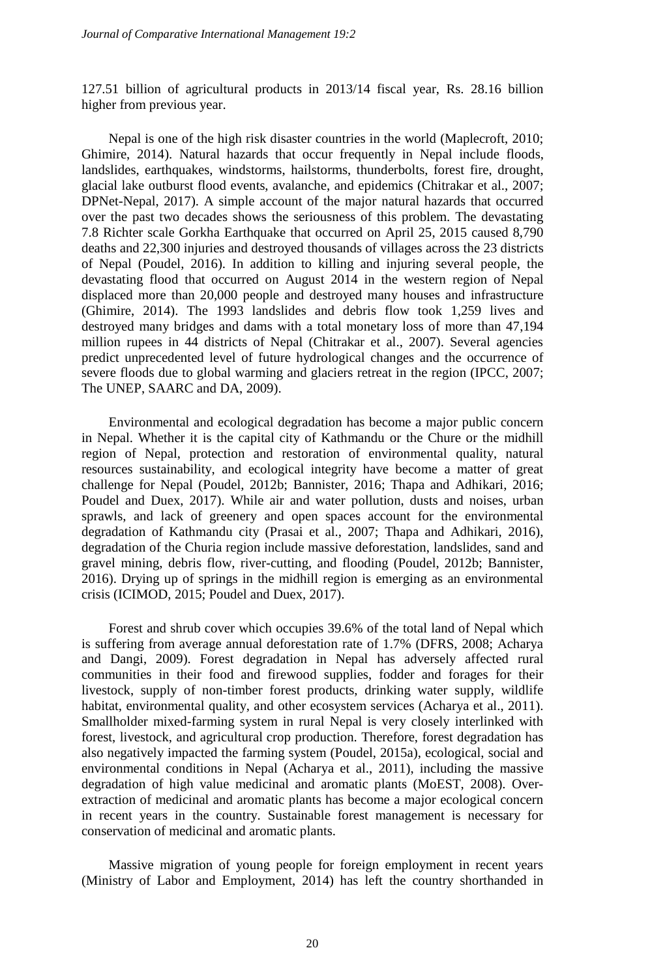127.51 billion of agricultural products in 2013/14 fiscal year, Rs. 28.16 billion higher from previous year.

Nepal is one of the high risk disaster countries in the world (Maplecroft, 2010; Ghimire, 2014). Natural hazards that occur frequently in Nepal include floods, landslides, earthquakes, windstorms, hailstorms, thunderbolts, forest fire, drought, glacial lake outburst flood events, avalanche, and epidemics (Chitrakar et al., 2007; DPNet-Nepal, 2017). A simple account of the major natural hazards that occurred over the past two decades shows the seriousness of this problem. The devastating 7.8 Richter scale Gorkha Earthquake that occurred on April 25, 2015 caused 8,790 deaths and 22,300 injuries and destroyed thousands of villages across the 23 districts of Nepal (Poudel, 2016). In addition to killing and injuring several people, the devastating flood that occurred on August 2014 in the western region of Nepal displaced more than 20,000 people and destroyed many houses and infrastructure (Ghimire, 2014). The 1993 landslides and debris flow took 1,259 lives and destroyed many bridges and dams with a total monetary loss of more than 47,194 million rupees in 44 districts of Nepal (Chitrakar et al., 2007). Several agencies predict unprecedented level of future hydrological changes and the occurrence of severe floods due to global warming and glaciers retreat in the region (IPCC, 2007; The UNEP, SAARC and DA, 2009).

Environmental and ecological degradation has become a major public concern in Nepal. Whether it is the capital city of Kathmandu or the Chure or the midhill region of Nepal, protection and restoration of environmental quality, natural resources sustainability, and ecological integrity have become a matter of great challenge for Nepal (Poudel, 2012b; Bannister, 2016; Thapa and Adhikari, 2016; Poudel and Duex, 2017). While air and water pollution, dusts and noises, urban sprawls, and lack of greenery and open spaces account for the environmental degradation of Kathmandu city (Prasai et al., 2007; Thapa and Adhikari, 2016), degradation of the Churia region include massive deforestation, landslides, sand and gravel mining, debris flow, river-cutting, and flooding (Poudel, 2012b; Bannister, 2016). Drying up of springs in the midhill region is emerging as an environmental crisis (ICIMOD, 2015; Poudel and Duex, 2017).

Forest and shrub cover which occupies 39.6% of the total land of Nepal which is suffering from average annual deforestation rate of 1.7% (DFRS, 2008; Acharya and Dangi, 2009). Forest degradation in Nepal has adversely affected rural communities in their food and firewood supplies, fodder and forages for their livestock, supply of non-timber forest products, drinking water supply, wildlife habitat, environmental quality, and other ecosystem services (Acharya et al., 2011). Smallholder mixed-farming system in rural Nepal is very closely interlinked with forest, livestock, and agricultural crop production. Therefore, forest degradation has also negatively impacted the farming system (Poudel, 2015a), ecological, social and environmental conditions in Nepal (Acharya et al., 2011), including the massive degradation of high value medicinal and aromatic plants (MoEST, 2008). Overextraction of medicinal and aromatic plants has become a major ecological concern in recent years in the country. Sustainable forest management is necessary for conservation of medicinal and aromatic plants.

Massive migration of young people for foreign employment in recent years (Ministry of Labor and Employment, 2014) has left the country shorthanded in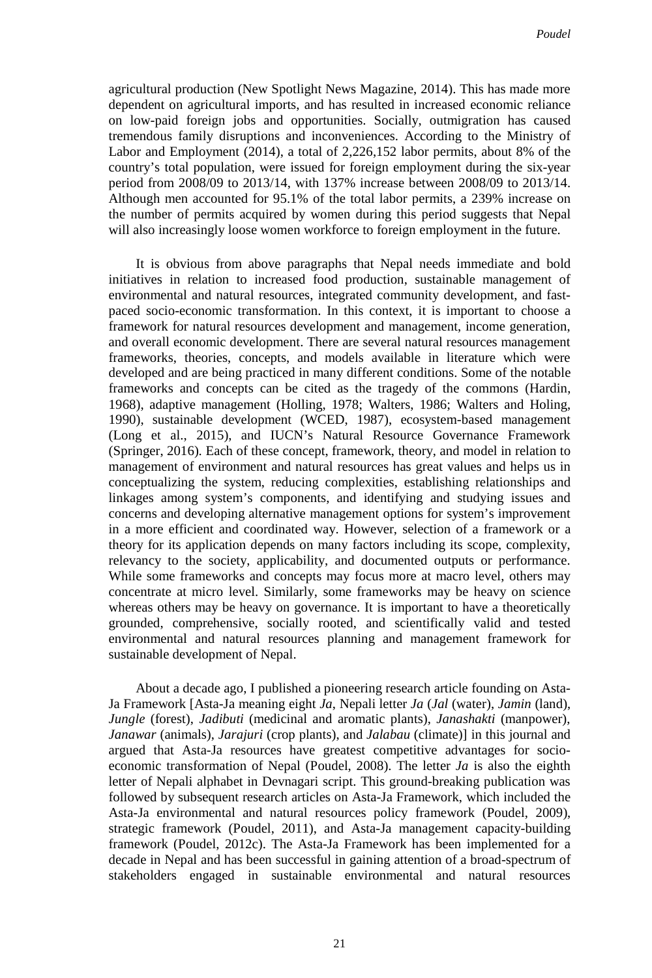agricultural production (New Spotlight News Magazine, 2014). This has made more dependent on agricultural imports, and has resulted in increased economic reliance on low-paid foreign jobs and opportunities. Socially, outmigration has caused tremendous family disruptions and inconveniences. According to the Ministry of Labor and Employment (2014), a total of 2,226,152 labor permits, about 8% of the country's total population, were issued for foreign employment during the six-year period from 2008/09 to 2013/14, with 137% increase between 2008/09 to 2013/14. Although men accounted for 95.1% of the total labor permits, a 239% increase on the number of permits acquired by women during this period suggests that Nepal will also increasingly loose women workforce to foreign employment in the future.

It is obvious from above paragraphs that Nepal needs immediate and bold initiatives in relation to increased food production, sustainable management of environmental and natural resources, integrated community development, and fastpaced socio-economic transformation. In this context, it is important to choose a framework for natural resources development and management, income generation, and overall economic development. There are several natural resources management frameworks, theories, concepts, and models available in literature which were developed and are being practiced in many different conditions. Some of the notable frameworks and concepts can be cited as the tragedy of the commons (Hardin, 1968), adaptive management (Holling, 1978; Walters, 1986; Walters and Holing, 1990), sustainable development (WCED, 1987), ecosystem-based management (Long et al., 2015), and IUCN's Natural Resource Governance Framework (Springer, 2016). Each of these concept, framework, theory, and model in relation to management of environment and natural resources has great values and helps us in conceptualizing the system, reducing complexities, establishing relationships and linkages among system's components, and identifying and studying issues and concerns and developing alternative management options for system's improvement in a more efficient and coordinated way. However, selection of a framework or a theory for its application depends on many factors including its scope, complexity, relevancy to the society, applicability, and documented outputs or performance. While some frameworks and concepts may focus more at macro level, others may concentrate at micro level. Similarly, some frameworks may be heavy on science whereas others may be heavy on governance. It is important to have a theoretically grounded, comprehensive, socially rooted, and scientifically valid and tested environmental and natural resources planning and management framework for sustainable development of Nepal.

About a decade ago, I published a pioneering research article founding on Asta-Ja Framework [Asta-Ja meaning eight *Ja*, Nepali letter *Ja* (*Jal* (water), *Jamin* (land), *Jungle* (forest), *Jadibuti* (medicinal and aromatic plants), *Janashakti* (manpower), *Janawar* (animals), *Jarajuri* (crop plants), and *Jalabau* (climate)] in this journal and argued that Asta-Ja resources have greatest competitive advantages for socioeconomic transformation of Nepal (Poudel, 2008). The letter *Ja* is also the eighth letter of Nepali alphabet in Devnagari script. This ground-breaking publication was followed by subsequent research articles on Asta-Ja Framework, which included the Asta-Ja environmental and natural resources policy framework (Poudel, 2009), strategic framework (Poudel, 2011), and Asta-Ja management capacity-building framework (Poudel, 2012c). The Asta-Ja Framework has been implemented for a decade in Nepal and has been successful in gaining attention of a broad-spectrum of stakeholders engaged in sustainable environmental and natural resources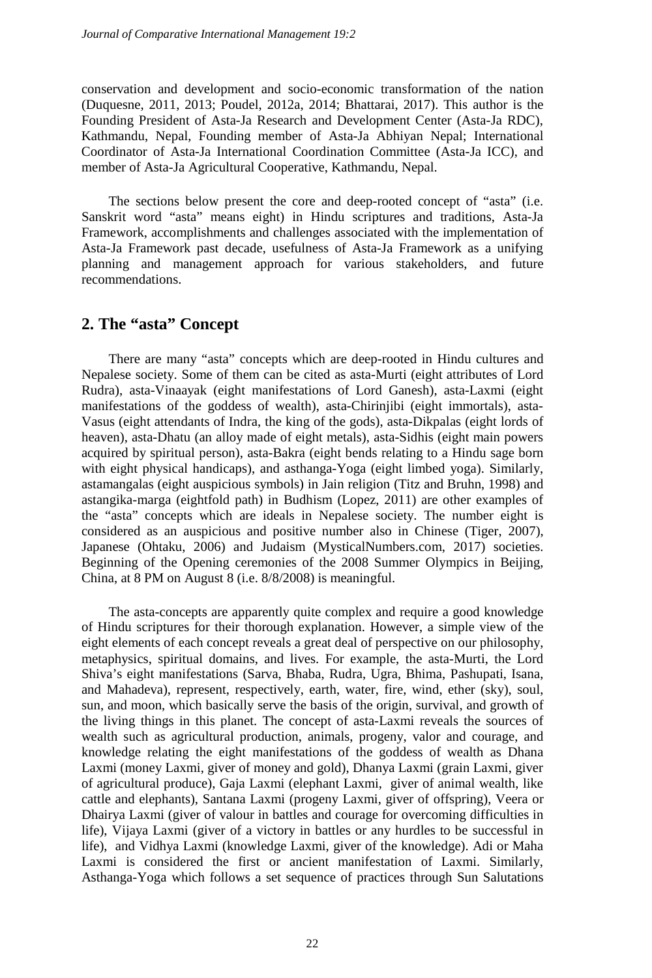conservation and development and socio-economic transformation of the nation (Duquesne, 2011, 2013; Poudel, 2012a, 2014; Bhattarai, 2017). This author is the Founding President of Asta-Ja Research and Development Center (Asta-Ja RDC), Kathmandu, Nepal, Founding member of Asta-Ja Abhiyan Nepal; International Coordinator of Asta-Ja International Coordination Committee (Asta-Ja ICC), and member of Asta-Ja Agricultural Cooperative, Kathmandu, Nepal.

The sections below present the core and deep-rooted concept of "asta" (i.e. Sanskrit word "asta" means eight) in Hindu scriptures and traditions, Asta-Ja Framework, accomplishments and challenges associated with the implementation of Asta-Ja Framework past decade, usefulness of Asta-Ja Framework as a unifying planning and management approach for various stakeholders, and future recommendations.

## **2. The "asta" Concept**

There are many "asta" concepts which are deep-rooted in Hindu cultures and Nepalese society. Some of them can be cited as asta-Murti (eight attributes of Lord Rudra), asta-Vinaayak (eight manifestations of Lord Ganesh), asta-Laxmi (eight manifestations of the goddess of wealth), asta-Chirinjibi (eight immortals), asta-Vasus (eight attendants of Indra, the king of the gods), asta-Dikpalas (eight lords of heaven), asta-Dhatu (an alloy made of eight metals), asta-Sidhis (eight main powers acquired by spiritual person), asta-Bakra (eight bends relating to a Hindu sage born with eight physical handicaps), and asthanga-Yoga (eight limbed yoga). Similarly, astamangalas (eight auspicious symbols) in Jain religion (Titz and Bruhn, 1998) and astangika-marga (eightfold path) in Budhism (Lopez, 2011) are other examples of the "asta" concepts which are ideals in Nepalese society. The number eight is considered as an auspicious and positive number also in Chinese (Tiger, 2007), Japanese (Ohtaku, 2006) and Judaism (MysticalNumbers.com, 2017) societies. Beginning of the Opening ceremonies of the 2008 Summer Olympics in Beijing, China, at 8 PM on August 8 (i.e. 8/8/2008) is meaningful.

The asta-concepts are apparently quite complex and require a good knowledge of Hindu scriptures for their thorough explanation. However, a simple view of the eight elements of each concept reveals a great deal of perspective on our philosophy, metaphysics, spiritual domains, and lives. For example, the asta-Murti, the Lord Shiva's eight manifestations (Sarva, Bhaba, Rudra, Ugra, Bhima, Pashupati, Isana, and Mahadeva), represent, respectively, earth, water, fire, wind, ether (sky), soul, sun, and moon, which basically serve the basis of the origin, survival, and growth of the living things in this planet. The concept of asta-Laxmi reveals the sources of wealth such as agricultural production, animals, progeny, valor and courage, and knowledge relating the eight manifestations of the goddess of wealth as Dhana Laxmi (money Laxmi, giver of money and gold), Dhanya Laxmi (grain Laxmi, giver of agricultural produce), Gaja Laxmi (elephant Laxmi, giver of animal wealth, like cattle and elephants), Santana Laxmi (progeny Laxmi, giver of offspring), Veera or Dhairya Laxmi (giver of valour in battles and courage for overcoming difficulties in life), Vijaya Laxmi (giver of a victory in battles or any hurdles to be successful in life), and Vidhya Laxmi (knowledge Laxmi, giver of the knowledge). Adi or Maha Laxmi is considered the first or ancient manifestation of Laxmi. Similarly, Asthanga-Yoga which follows a set sequence of practices through Sun Salutations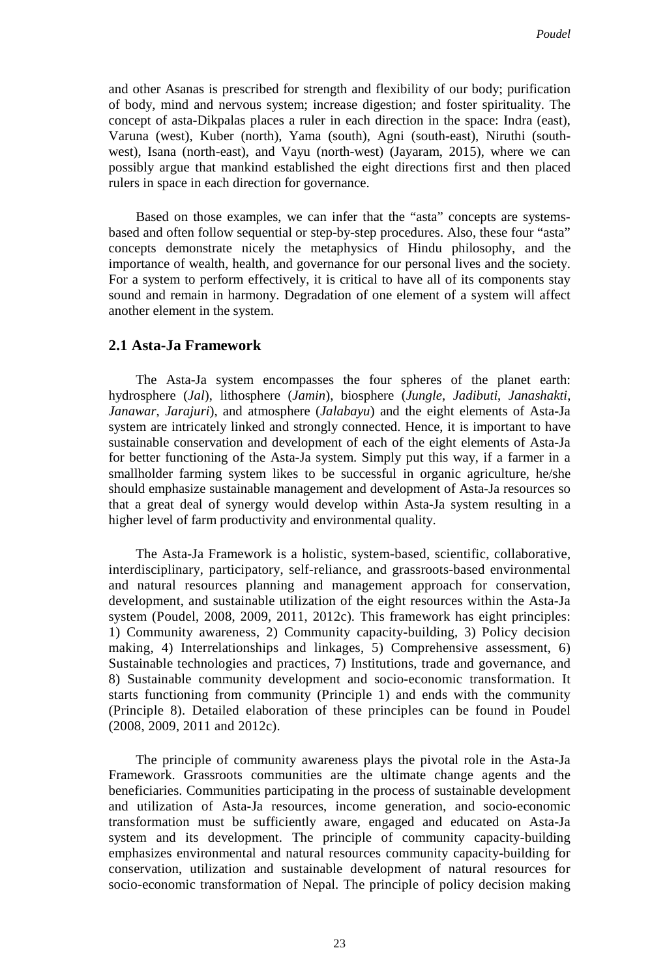and other Asanas is prescribed for strength and flexibility of our body; purification of body, mind and nervous system; increase digestion; and foster spirituality. The concept of asta-Dikpalas places a ruler in each direction in the space: Indra (east), Varuna (west), Kuber (north), Yama (south), Agni (south-east), Niruthi (southwest), Isana (north-east), and Vayu (north-west) (Jayaram, 2015), where we can possibly argue that mankind established the eight directions first and then placed rulers in space in each direction for governance.

Based on those examples, we can infer that the "asta" concepts are systemsbased and often follow sequential or step-by-step procedures. Also, these four "asta" concepts demonstrate nicely the metaphysics of Hindu philosophy, and the importance of wealth, health, and governance for our personal lives and the society. For a system to perform effectively, it is critical to have all of its components stay sound and remain in harmony. Degradation of one element of a system will affect another element in the system.

#### **2.1 Asta-Ja Framework**

The Asta-Ja system encompasses the four spheres of the planet earth: hydrosphere (*Jal*), lithosphere (*Jamin*), biosphere (*Jungle*, *Jadibuti*, *Janashakti*, *Janawar*, *Jarajuri*), and atmosphere (*Jalabayu*) and the eight elements of Asta-Ja system are intricately linked and strongly connected. Hence, it is important to have sustainable conservation and development of each of the eight elements of Asta-Ja for better functioning of the Asta-Ja system. Simply put this way, if a farmer in a smallholder farming system likes to be successful in organic agriculture, he/she should emphasize sustainable management and development of Asta-Ja resources so that a great deal of synergy would develop within Asta-Ja system resulting in a higher level of farm productivity and environmental quality.

The Asta-Ja Framework is a holistic, system-based, scientific, collaborative, interdisciplinary, participatory, self-reliance, and grassroots-based environmental and natural resources planning and management approach for conservation, development, and sustainable utilization of the eight resources within the Asta-Ja system (Poudel, 2008, 2009, 2011, 2012c). This framework has eight principles: 1) Community awareness, 2) Community capacity-building, 3) Policy decision making, 4) Interrelationships and linkages, 5) Comprehensive assessment, 6) Sustainable technologies and practices, 7) Institutions, trade and governance, and 8) Sustainable community development and socio-economic transformation. It starts functioning from community (Principle 1) and ends with the community (Principle 8). Detailed elaboration of these principles can be found in Poudel (2008, 2009, 2011 and 2012c).

The principle of community awareness plays the pivotal role in the Asta-Ja Framework. Grassroots communities are the ultimate change agents and the beneficiaries. Communities participating in the process of sustainable development and utilization of Asta-Ja resources, income generation, and socio-economic transformation must be sufficiently aware, engaged and educated on Asta-Ja system and its development. The principle of community capacity-building emphasizes environmental and natural resources community capacity-building for conservation, utilization and sustainable development of natural resources for socio-economic transformation of Nepal. The principle of policy decision making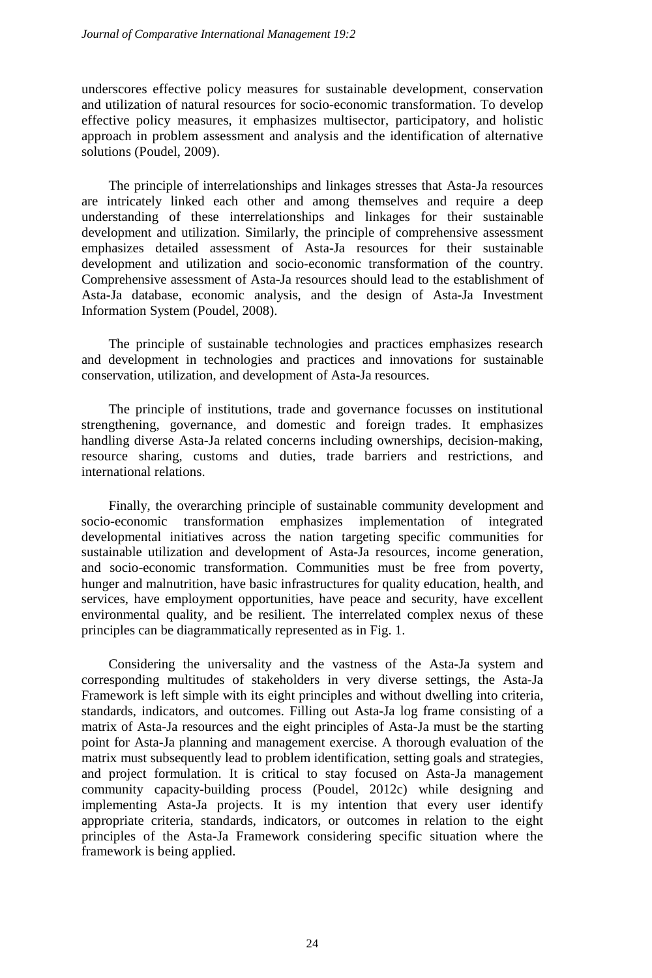underscores effective policy measures for sustainable development, conservation and utilization of natural resources for socio-economic transformation. To develop effective policy measures, it emphasizes multisector, participatory, and holistic approach in problem assessment and analysis and the identification of alternative solutions (Poudel, 2009).

The principle of interrelationships and linkages stresses that Asta-Ja resources are intricately linked each other and among themselves and require a deep understanding of these interrelationships and linkages for their sustainable development and utilization. Similarly, the principle of comprehensive assessment emphasizes detailed assessment of Asta-Ja resources for their sustainable development and utilization and socio-economic transformation of the country. Comprehensive assessment of Asta-Ja resources should lead to the establishment of Asta-Ja database, economic analysis, and the design of Asta-Ja Investment Information System (Poudel, 2008).

The principle of sustainable technologies and practices emphasizes research and development in technologies and practices and innovations for sustainable conservation, utilization, and development of Asta-Ja resources.

The principle of institutions, trade and governance focusses on institutional strengthening, governance, and domestic and foreign trades. It emphasizes handling diverse Asta-Ja related concerns including ownerships, decision-making, resource sharing, customs and duties, trade barriers and restrictions, and international relations.

Finally, the overarching principle of sustainable community development and socio-economic transformation emphasizes implementation of integrated developmental initiatives across the nation targeting specific communities for sustainable utilization and development of Asta-Ja resources, income generation, and socio-economic transformation. Communities must be free from poverty, hunger and malnutrition, have basic infrastructures for quality education, health, and services, have employment opportunities, have peace and security, have excellent environmental quality, and be resilient. The interrelated complex nexus of these principles can be diagrammatically represented as in Fig. 1.

Considering the universality and the vastness of the Asta-Ja system and corresponding multitudes of stakeholders in very diverse settings, the Asta-Ja Framework is left simple with its eight principles and without dwelling into criteria, standards, indicators, and outcomes. Filling out Asta-Ja log frame consisting of a matrix of Asta-Ja resources and the eight principles of Asta-Ja must be the starting point for Asta-Ja planning and management exercise. A thorough evaluation of the matrix must subsequently lead to problem identification, setting goals and strategies, and project formulation. It is critical to stay focused on Asta-Ja management community capacity-building process (Poudel, 2012c) while designing and implementing Asta-Ja projects. It is my intention that every user identify appropriate criteria, standards, indicators, or outcomes in relation to the eight principles of the Asta-Ja Framework considering specific situation where the framework is being applied.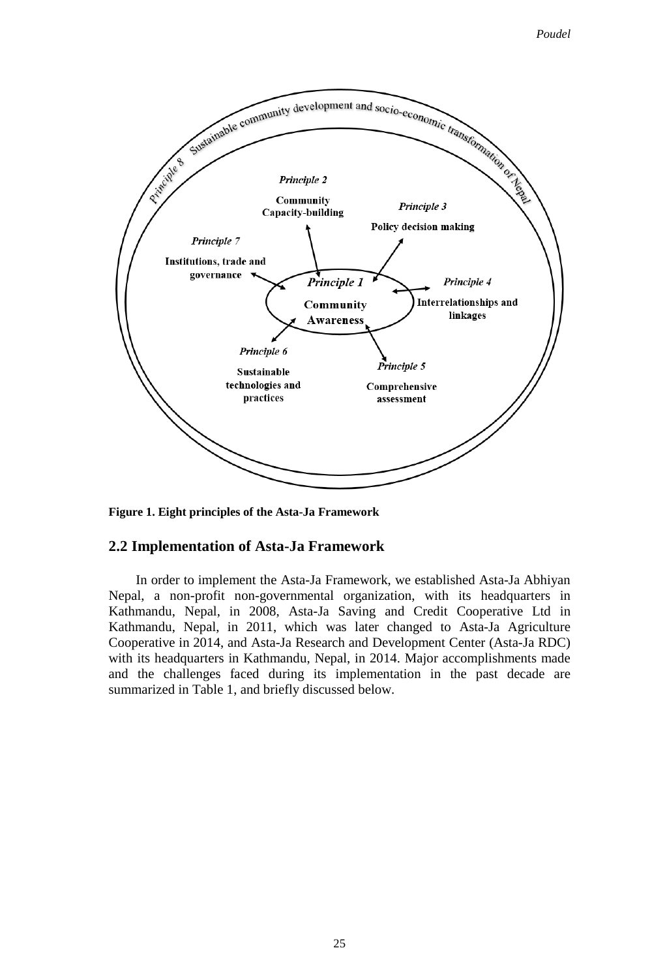

**Figure 1. Eight principles of the Asta-Ja Framework**

#### **2.2 Implementation of Asta-Ja Framework**

In order to implement the Asta-Ja Framework, we established Asta-Ja Abhiyan Nepal, a non-profit non-governmental organization, with its headquarters in Kathmandu, Nepal, in 2008, Asta-Ja Saving and Credit Cooperative Ltd in Kathmandu, Nepal, in 2011, which was later changed to Asta-Ja Agriculture Cooperative in 2014, and Asta-Ja Research and Development Center (Asta-Ja RDC) with its headquarters in Kathmandu, Nepal, in 2014. Major accomplishments made and the challenges faced during its implementation in the past decade are summarized in Table 1, and briefly discussed below.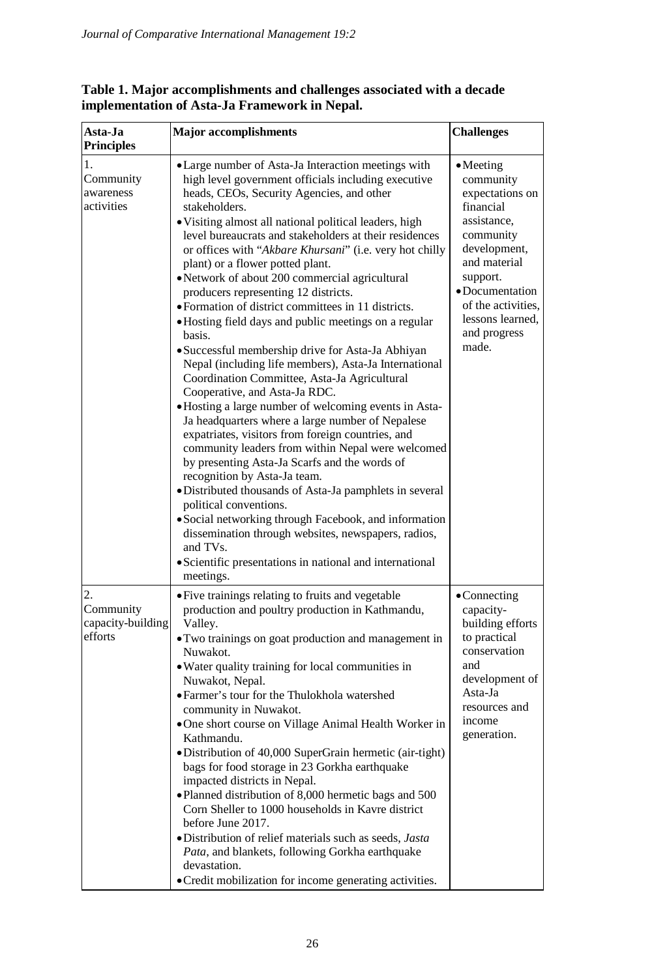| Asta-Ja<br><b>Principles</b>                    | <b>Major</b> accomplishments                                                                                                                                                                                                                                                                                                                                                                                                                                                                                                                                                                                                                                                                                                                                                                                                                                                                                                                                                                                                                                                                                                                                                                                                                                                                                                                                                                                     | <b>Challenges</b>                                                                                                                                                                                                            |
|-------------------------------------------------|------------------------------------------------------------------------------------------------------------------------------------------------------------------------------------------------------------------------------------------------------------------------------------------------------------------------------------------------------------------------------------------------------------------------------------------------------------------------------------------------------------------------------------------------------------------------------------------------------------------------------------------------------------------------------------------------------------------------------------------------------------------------------------------------------------------------------------------------------------------------------------------------------------------------------------------------------------------------------------------------------------------------------------------------------------------------------------------------------------------------------------------------------------------------------------------------------------------------------------------------------------------------------------------------------------------------------------------------------------------------------------------------------------------|------------------------------------------------------------------------------------------------------------------------------------------------------------------------------------------------------------------------------|
| 1.<br>Community<br>awareness<br>activities      | • Large number of Asta-Ja Interaction meetings with<br>high level government officials including executive<br>heads, CEOs, Security Agencies, and other<br>stakeholders.<br>• Visiting almost all national political leaders, high<br>level bureaucrats and stakeholders at their residences<br>or offices with "Akbare Khursani" (i.e. very hot chilly<br>plant) or a flower potted plant.<br>• Network of about 200 commercial agricultural<br>producers representing 12 districts.<br>• Formation of district committees in 11 districts.<br>• Hosting field days and public meetings on a regular<br>basis.<br>• Successful membership drive for Asta-Ja Abhiyan<br>Nepal (including life members), Asta-Ja International<br>Coordination Committee, Asta-Ja Agricultural<br>Cooperative, and Asta-Ja RDC.<br>· Hosting a large number of welcoming events in Asta-<br>Ja headquarters where a large number of Nepalese<br>expatriates, visitors from foreign countries, and<br>community leaders from within Nepal were welcomed<br>by presenting Asta-Ja Scarfs and the words of<br>recognition by Asta-Ja team.<br>• Distributed thousands of Asta-Ja pamphlets in several<br>political conventions.<br>• Social networking through Facebook, and information<br>dissemination through websites, newspapers, radios,<br>and TVs.<br>· Scientific presentations in national and international<br>meetings. | $\bullet$ Meeting<br>community<br>expectations on<br>financial<br>assistance,<br>community<br>development,<br>and material<br>support.<br>• Documentation<br>of the activities.<br>lessons learned.<br>and progress<br>made. |
| 2.<br>Community<br>capacity-building<br>efforts | • Five trainings relating to fruits and vegetable<br>production and poultry production in Kathmandu,<br>Valley.<br>• Two trainings on goat production and management in<br>Nuwakot.<br>• Water quality training for local communities in<br>Nuwakot, Nepal.<br>· Farmer's tour for the Thulokhola watershed<br>community in Nuwakot.<br>•One short course on Village Animal Health Worker in<br>Kathmandu.<br>• Distribution of 40,000 SuperGrain hermetic (air-tight)<br>bags for food storage in 23 Gorkha earthquake<br>impacted districts in Nepal.<br>. Planned distribution of 8,000 hermetic bags and 500<br>Corn Sheller to 1000 households in Kavre district<br>before June 2017.<br>·Distribution of relief materials such as seeds, Jasta<br>Pata, and blankets, following Gorkha earthquake<br>devastation.<br>• Credit mobilization for income generating activities.                                                                                                                                                                                                                                                                                                                                                                                                                                                                                                                               | $\bullet$ Connecting<br>capacity-<br>building efforts<br>to practical<br>conservation<br>and<br>development of<br>Asta-Ja<br>resources and<br>income<br>generation.                                                          |

### **Table 1. Major accomplishments and challenges associated with a decade implementation of Asta-Ja Framework in Nepal.**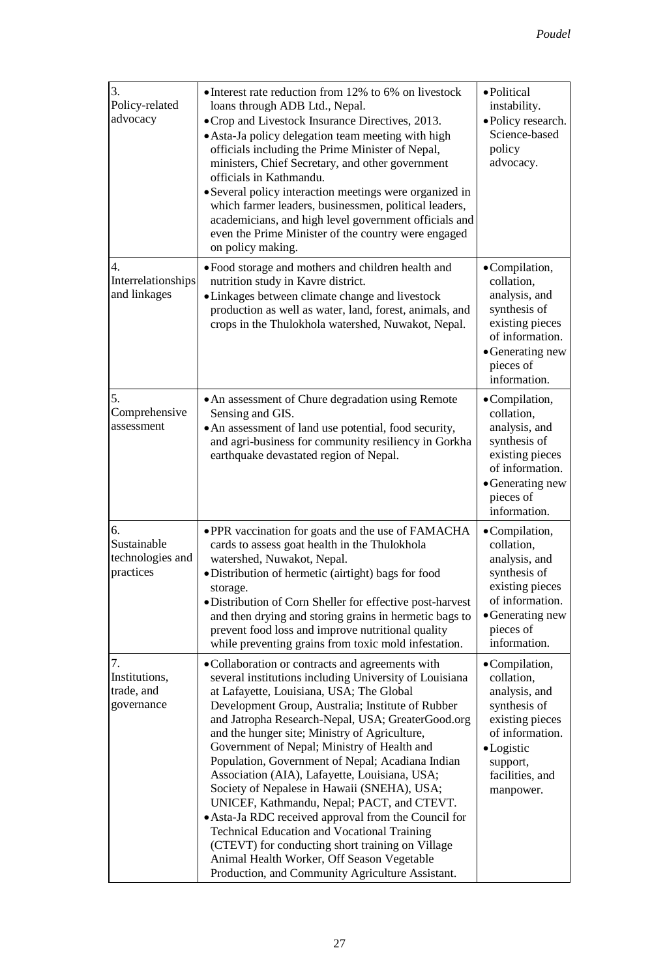| 3.<br>Policy-related<br>advocacy                   | • Interest rate reduction from 12% to 6% on livestock<br>loans through ADB Ltd., Nepal.<br>• Crop and Livestock Insurance Directives, 2013.<br>• Asta-Ja policy delegation team meeting with high<br>officials including the Prime Minister of Nepal,<br>ministers, Chief Secretary, and other government<br>officials in Kathmandu.<br>• Several policy interaction meetings were organized in<br>which farmer leaders, businessmen, political leaders,<br>academicians, and high level government officials and<br>even the Prime Minister of the country were engaged<br>on policy making.                                                                                                                                                                                                                                         | • Political<br>instability.<br>·Policy research.<br>Science-based<br>policy<br>advocacy.                                                                    |
|----------------------------------------------------|---------------------------------------------------------------------------------------------------------------------------------------------------------------------------------------------------------------------------------------------------------------------------------------------------------------------------------------------------------------------------------------------------------------------------------------------------------------------------------------------------------------------------------------------------------------------------------------------------------------------------------------------------------------------------------------------------------------------------------------------------------------------------------------------------------------------------------------|-------------------------------------------------------------------------------------------------------------------------------------------------------------|
| 4.<br>Interrelationships<br>and linkages           | • Food storage and mothers and children health and<br>nutrition study in Kavre district.<br>• Linkages between climate change and livestock<br>production as well as water, land, forest, animals, and<br>crops in the Thulokhola watershed, Nuwakot, Nepal.                                                                                                                                                                                                                                                                                                                                                                                                                                                                                                                                                                          | •Compilation,<br>collation,<br>analysis, and<br>synthesis of<br>existing pieces<br>of information.<br>• Generating new<br>pieces of<br>information.         |
| 5.<br>Comprehensive<br>assessment                  | • An assessment of Chure degradation using Remote<br>Sensing and GIS.<br>• An assessment of land use potential, food security,<br>and agri-business for community resiliency in Gorkha<br>earthquake devastated region of Nepal.                                                                                                                                                                                                                                                                                                                                                                                                                                                                                                                                                                                                      | •Compilation,<br>collation,<br>analysis, and<br>synthesis of<br>existing pieces<br>of information.<br>• Generating new<br>pieces of<br>information.         |
| 6.<br>Sustainable<br>technologies and<br>practices | • PPR vaccination for goats and the use of FAMACHA<br>cards to assess goat health in the Thulokhola<br>watershed, Nuwakot, Nepal.<br>·Distribution of hermetic (airtight) bags for food<br>storage.<br>·Distribution of Corn Sheller for effective post-harvest<br>and then drying and storing grains in hermetic bags to<br>prevent food loss and improve nutritional quality<br>while preventing grains from toxic mold infestation.                                                                                                                                                                                                                                                                                                                                                                                                | •Compilation,<br>collation,<br>analysis, and<br>synthesis of<br>existing pieces<br>of information.<br>• Generating new<br>pieces of<br>information.         |
| 7.<br>Institutions,<br>trade, and<br>governance    | ·Collaboration or contracts and agreements with<br>several institutions including University of Louisiana<br>at Lafayette, Louisiana, USA; The Global<br>Development Group, Australia; Institute of Rubber<br>and Jatropha Research-Nepal, USA; GreaterGood.org<br>and the hunger site; Ministry of Agriculture,<br>Government of Nepal; Ministry of Health and<br>Population, Government of Nepal; Acadiana Indian<br>Association (AIA), Lafayette, Louisiana, USA;<br>Society of Nepalese in Hawaii (SNEHA), USA;<br>UNICEF, Kathmandu, Nepal; PACT, and CTEVT.<br>• Asta-Ja RDC received approval from the Council for<br><b>Technical Education and Vocational Training</b><br>(CTEVT) for conducting short training on Village<br>Animal Health Worker, Off Season Vegetable<br>Production, and Community Agriculture Assistant. | •Compilation,<br>collation,<br>analysis, and<br>synthesis of<br>existing pieces<br>of information.<br>•Logistic<br>support,<br>facilities, and<br>manpower. |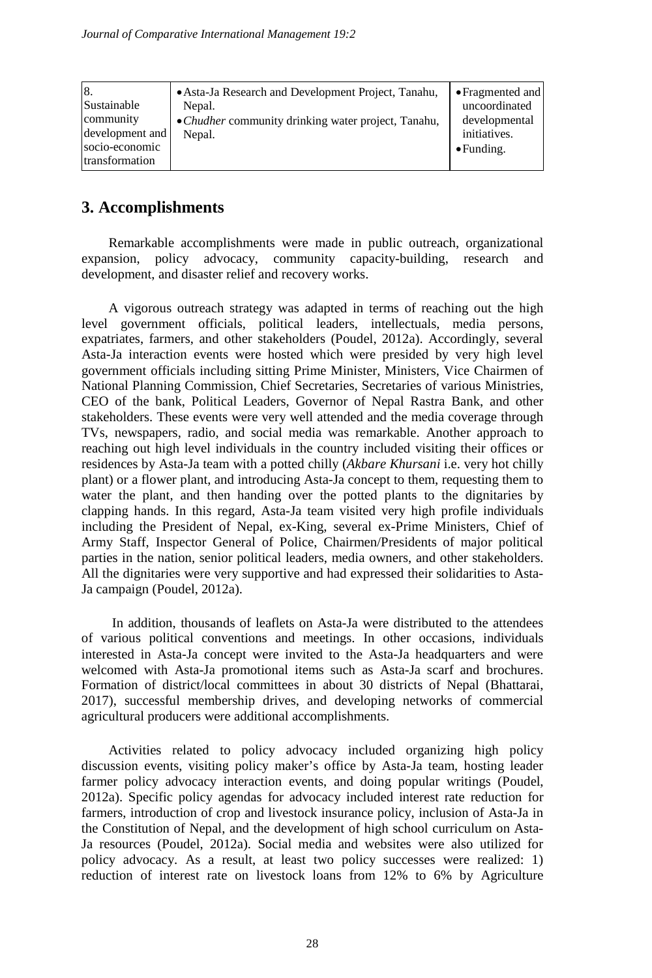| 8.<br>• Asta-Ja Research and Development Project, Tanahu,<br>Sustainable<br>Nepal.<br>community<br>• Chudher community drinking water project, Tanahu,<br>development and<br>Nepal.<br>socio-economic<br>transformation | • Fragmented and<br>uncoordinated<br>developmental<br>initiatives.<br>$\bullet$ Funding. |
|-------------------------------------------------------------------------------------------------------------------------------------------------------------------------------------------------------------------------|------------------------------------------------------------------------------------------|
|-------------------------------------------------------------------------------------------------------------------------------------------------------------------------------------------------------------------------|------------------------------------------------------------------------------------------|

## **3. Accomplishments**

Remarkable accomplishments were made in public outreach, organizational expansion, policy advocacy, community capacity-building, research and development, and disaster relief and recovery works.

A vigorous outreach strategy was adapted in terms of reaching out the high level government officials, political leaders, intellectuals, media persons, expatriates, farmers, and other stakeholders (Poudel, 2012a). Accordingly, several Asta-Ja interaction events were hosted which were presided by very high level government officials including sitting Prime Minister, Ministers, Vice Chairmen of National Planning Commission, Chief Secretaries, Secretaries of various Ministries, CEO of the bank, Political Leaders, Governor of Nepal Rastra Bank, and other stakeholders. These events were very well attended and the media coverage through TVs, newspapers, radio, and social media was remarkable. Another approach to reaching out high level individuals in the country included visiting their offices or residences by Asta-Ja team with a potted chilly (*Akbare Khursani* i.e. very hot chilly plant) or a flower plant, and introducing Asta-Ja concept to them, requesting them to water the plant, and then handing over the potted plants to the dignitaries by clapping hands. In this regard, Asta-Ja team visited very high profile individuals including the President of Nepal, ex-King, several ex-Prime Ministers, Chief of Army Staff, Inspector General of Police, Chairmen/Presidents of major political parties in the nation, senior political leaders, media owners, and other stakeholders. All the dignitaries were very supportive and had expressed their solidarities to Asta-Ja campaign (Poudel, 2012a).

In addition, thousands of leaflets on Asta-Ja were distributed to the attendees of various political conventions and meetings. In other occasions, individuals interested in Asta-Ja concept were invited to the Asta-Ja headquarters and were welcomed with Asta-Ja promotional items such as Asta-Ja scarf and brochures. Formation of district/local committees in about 30 districts of Nepal (Bhattarai, 2017), successful membership drives, and developing networks of commercial agricultural producers were additional accomplishments.

Activities related to policy advocacy included organizing high policy discussion events, visiting policy maker's office by Asta-Ja team, hosting leader farmer policy advocacy interaction events, and doing popular writings (Poudel, 2012a). Specific policy agendas for advocacy included interest rate reduction for farmers, introduction of crop and livestock insurance policy, inclusion of Asta-Ja in the Constitution of Nepal, and the development of high school curriculum on Asta-Ja resources (Poudel, 2012a). Social media and websites were also utilized for policy advocacy. As a result, at least two policy successes were realized: 1) reduction of interest rate on livestock loans from 12% to 6% by Agriculture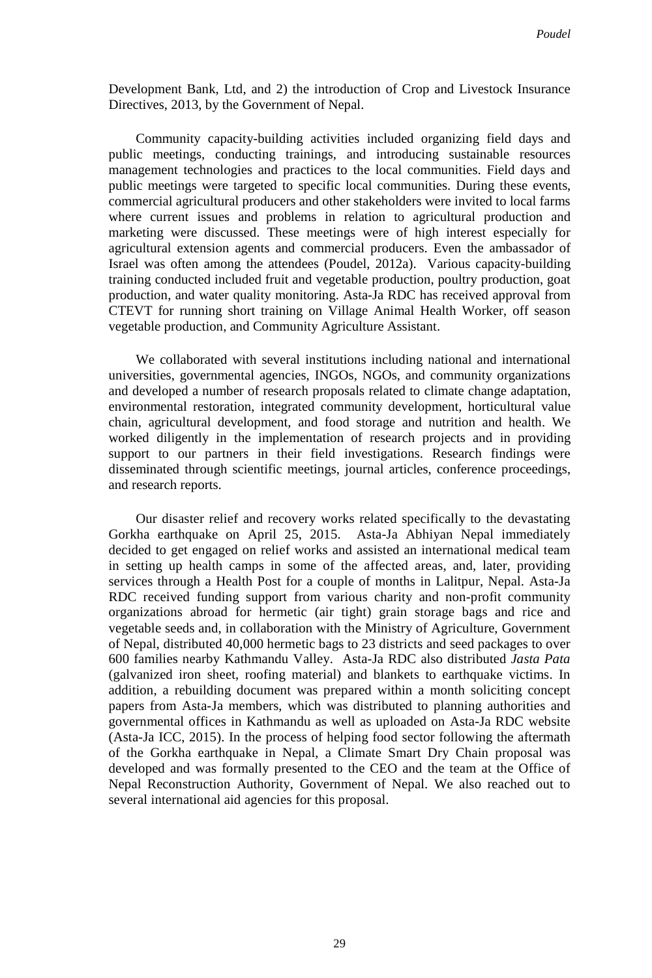Development Bank, Ltd, and 2) the introduction of Crop and Livestock Insurance Directives, 2013, by the Government of Nepal.

Community capacity-building activities included organizing field days and public meetings, conducting trainings, and introducing sustainable resources management technologies and practices to the local communities. Field days and public meetings were targeted to specific local communities. During these events, commercial agricultural producers and other stakeholders were invited to local farms where current issues and problems in relation to agricultural production and marketing were discussed. These meetings were of high interest especially for agricultural extension agents and commercial producers. Even the ambassador of Israel was often among the attendees (Poudel, 2012a). Various capacity-building training conducted included fruit and vegetable production, poultry production, goat production, and water quality monitoring. Asta-Ja RDC has received approval from CTEVT for running short training on Village Animal Health Worker, off season vegetable production, and Community Agriculture Assistant.

We collaborated with several institutions including national and international universities, governmental agencies, INGOs, NGOs, and community organizations and developed a number of research proposals related to climate change adaptation, environmental restoration, integrated community development, horticultural value chain, agricultural development, and food storage and nutrition and health. We worked diligently in the implementation of research projects and in providing support to our partners in their field investigations. Research findings were disseminated through scientific meetings, journal articles, conference proceedings, and research reports.

Our disaster relief and recovery works related specifically to the devastating Gorkha earthquake on April 25, 2015. Asta-Ja Abhiyan Nepal immediately decided to get engaged on relief works and assisted an international medical team in setting up health camps in some of the affected areas, and, later, providing services through a Health Post for a couple of months in Lalitpur, Nepal. Asta-Ja RDC received funding support from various charity and non-profit community organizations abroad for hermetic (air tight) grain storage bags and rice and vegetable seeds and, in collaboration with the Ministry of Agriculture, Government of Nepal, distributed 40,000 hermetic bags to 23 districts and seed packages to over 600 families nearby Kathmandu Valley. Asta-Ja RDC also distributed *Jasta Pata* (galvanized iron sheet, roofing material) and blankets to earthquake victims. In addition, a rebuilding document was prepared within a month soliciting concept papers from Asta-Ja members, which was distributed to planning authorities and governmental offices in Kathmandu as well as uploaded on Asta-Ja RDC website (Asta-Ja ICC, 2015). In the process of helping food sector following the aftermath of the Gorkha earthquake in Nepal, a Climate Smart Dry Chain proposal was developed and was formally presented to the CEO and the team at the Office of Nepal Reconstruction Authority, Government of Nepal. We also reached out to several international aid agencies for this proposal.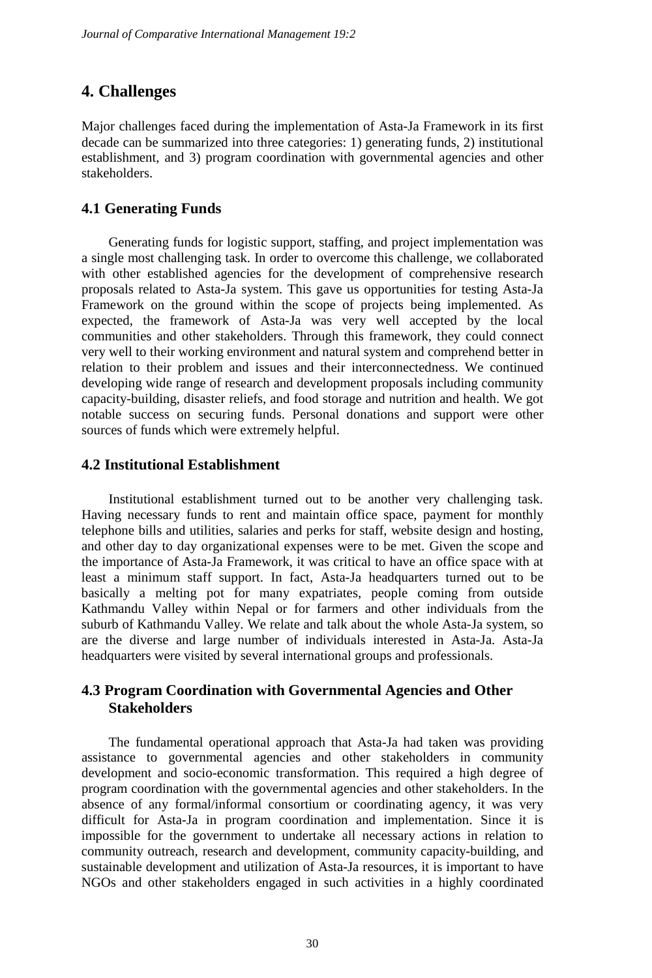## **4. Challenges**

Major challenges faced during the implementation of Asta-Ja Framework in its first decade can be summarized into three categories: 1) generating funds, 2) institutional establishment, and 3) program coordination with governmental agencies and other stakeholders.

#### **4.1 Generating Funds**

Generating funds for logistic support, staffing, and project implementation was a single most challenging task. In order to overcome this challenge, we collaborated with other established agencies for the development of comprehensive research proposals related to Asta-Ja system. This gave us opportunities for testing Asta-Ja Framework on the ground within the scope of projects being implemented. As expected, the framework of Asta-Ja was very well accepted by the local communities and other stakeholders. Through this framework, they could connect very well to their working environment and natural system and comprehend better in relation to their problem and issues and their interconnectedness. We continued developing wide range of research and development proposals including community capacity-building, disaster reliefs, and food storage and nutrition and health. We got notable success on securing funds. Personal donations and support were other sources of funds which were extremely helpful.

#### **4.2 Institutional Establishment**

Institutional establishment turned out to be another very challenging task. Having necessary funds to rent and maintain office space, payment for monthly telephone bills and utilities, salaries and perks for staff, website design and hosting, and other day to day organizational expenses were to be met. Given the scope and the importance of Asta-Ja Framework, it was critical to have an office space with at least a minimum staff support. In fact, Asta-Ja headquarters turned out to be basically a melting pot for many expatriates, people coming from outside Kathmandu Valley within Nepal or for farmers and other individuals from the suburb of Kathmandu Valley. We relate and talk about the whole Asta-Ja system, so are the diverse and large number of individuals interested in Asta-Ja. Asta-Ja headquarters were visited by several international groups and professionals.

### **4.3 Program Coordination with Governmental Agencies and Other Stakeholders**

The fundamental operational approach that Asta-Ja had taken was providing assistance to governmental agencies and other stakeholders in community development and socio-economic transformation. This required a high degree of program coordination with the governmental agencies and other stakeholders. In the absence of any formal/informal consortium or coordinating agency, it was very difficult for Asta-Ja in program coordination and implementation. Since it is impossible for the government to undertake all necessary actions in relation to community outreach, research and development, community capacity-building, and sustainable development and utilization of Asta-Ja resources, it is important to have NGOs and other stakeholders engaged in such activities in a highly coordinated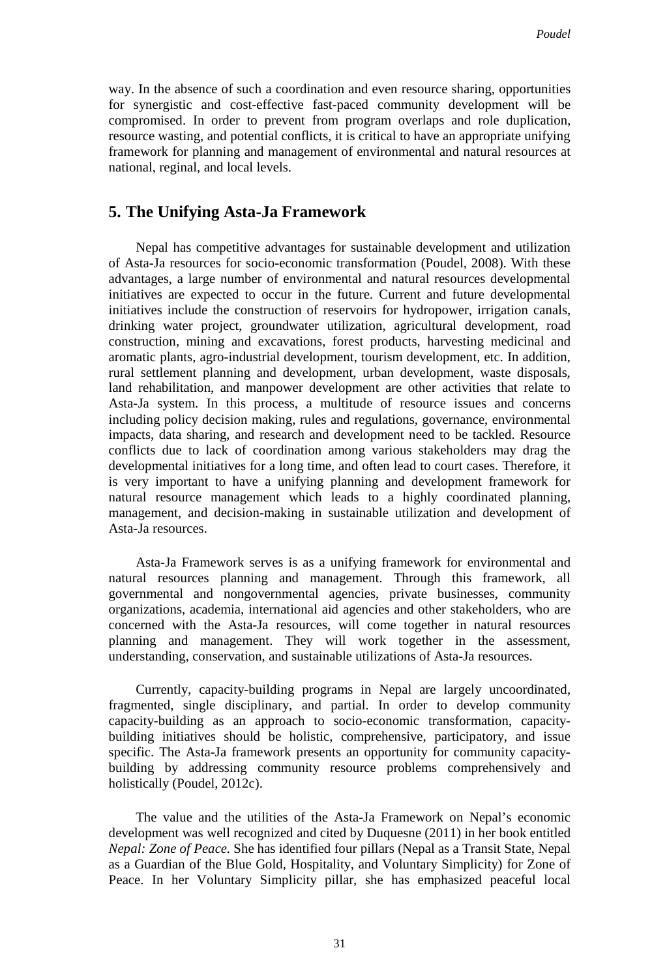way. In the absence of such a coordination and even resource sharing, opportunities for synergistic and cost-effective fast-paced community development will be compromised. In order to prevent from program overlaps and role duplication, resource wasting, and potential conflicts, it is critical to have an appropriate unifying framework for planning and management of environmental and natural resources at national, reginal, and local levels.

### **5. The Unifying Asta-Ja Framework**

Nepal has competitive advantages for sustainable development and utilization of Asta-Ja resources for socio-economic transformation (Poudel, 2008). With these advantages, a large number of environmental and natural resources developmental initiatives are expected to occur in the future. Current and future developmental initiatives include the construction of reservoirs for hydropower, irrigation canals, drinking water project, groundwater utilization, agricultural development, road construction, mining and excavations, forest products, harvesting medicinal and aromatic plants, agro-industrial development, tourism development, etc. In addition, rural settlement planning and development, urban development, waste disposals, land rehabilitation, and manpower development are other activities that relate to Asta-Ja system. In this process, a multitude of resource issues and concerns including policy decision making, rules and regulations, governance, environmental impacts, data sharing, and research and development need to be tackled. Resource conflicts due to lack of coordination among various stakeholders may drag the developmental initiatives for a long time, and often lead to court cases. Therefore, it is very important to have a unifying planning and development framework for natural resource management which leads to a highly coordinated planning, management, and decision-making in sustainable utilization and development of Asta-Ja resources.

Asta-Ja Framework serves is as a unifying framework for environmental and natural resources planning and management. Through this framework, all governmental and nongovernmental agencies, private businesses, community organizations, academia, international aid agencies and other stakeholders, who are concerned with the Asta-Ja resources, will come together in natural resources planning and management. They will work together in the assessment, understanding, conservation, and sustainable utilizations of Asta-Ja resources.

Currently, capacity-building programs in Nepal are largely uncoordinated, fragmented, single disciplinary, and partial. In order to develop community capacity-building as an approach to socio-economic transformation, capacitybuilding initiatives should be holistic, comprehensive, participatory, and issue specific. The Asta-Ja framework presents an opportunity for community capacitybuilding by addressing community resource problems comprehensively and holistically (Poudel, 2012c).

The value and the utilities of the Asta-Ja Framework on Nepal's economic development was well recognized and cited by Duquesne (2011) in her book entitled *Nepal: Zone of Peace.* She has identified four pillars (Nepal as a Transit State, Nepal as a Guardian of the Blue Gold, Hospitality, and Voluntary Simplicity) for Zone of Peace. In her Voluntary Simplicity pillar, she has emphasized peaceful local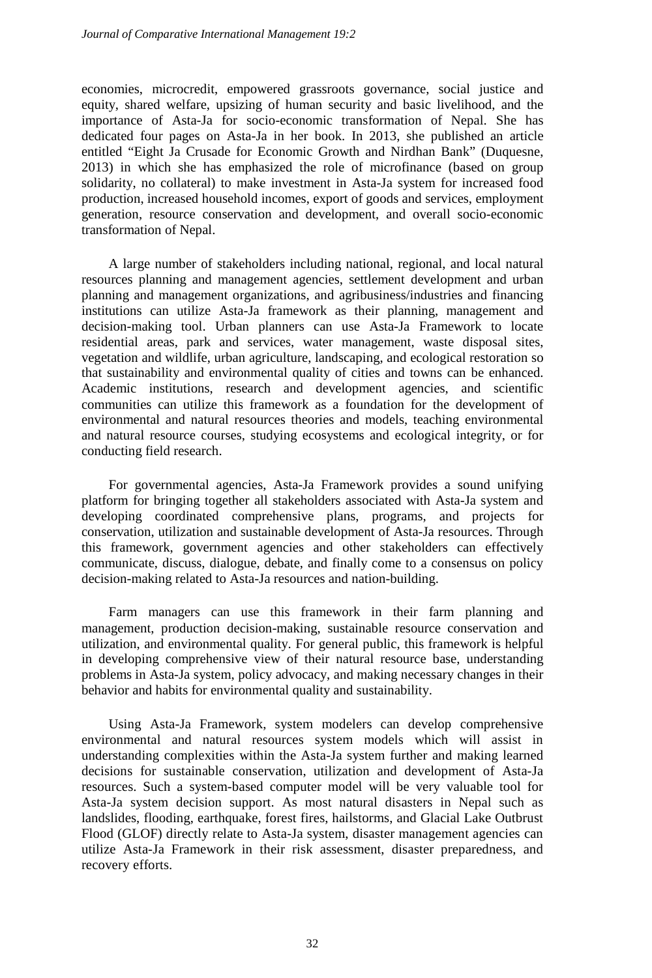economies, microcredit, empowered grassroots governance, social justice and equity, shared welfare, upsizing of human security and basic livelihood, and the importance of Asta-Ja for socio-economic transformation of Nepal. She has dedicated four pages on Asta-Ja in her book. In 2013, she published an article entitled "Eight Ja Crusade for Economic Growth and Nirdhan Bank" (Duquesne, 2013) in which she has emphasized the role of microfinance (based on group solidarity, no collateral) to make investment in Asta-Ja system for increased food production, increased household incomes, export of goods and services, employment generation, resource conservation and development, and overall socio-economic transformation of Nepal.

A large number of stakeholders including national, regional, and local natural resources planning and management agencies, settlement development and urban planning and management organizations, and agribusiness/industries and financing institutions can utilize Asta-Ja framework as their planning, management and decision-making tool. Urban planners can use Asta-Ja Framework to locate residential areas, park and services, water management, waste disposal sites, vegetation and wildlife, urban agriculture, landscaping, and ecological restoration so that sustainability and environmental quality of cities and towns can be enhanced. Academic institutions, research and development agencies, and scientific communities can utilize this framework as a foundation for the development of environmental and natural resources theories and models, teaching environmental and natural resource courses, studying ecosystems and ecological integrity, or for conducting field research.

For governmental agencies, Asta-Ja Framework provides a sound unifying platform for bringing together all stakeholders associated with Asta-Ja system and developing coordinated comprehensive plans, programs, and projects for conservation, utilization and sustainable development of Asta-Ja resources. Through this framework, government agencies and other stakeholders can effectively communicate, discuss, dialogue, debate, and finally come to a consensus on policy decision-making related to Asta-Ja resources and nation-building.

Farm managers can use this framework in their farm planning and management, production decision-making, sustainable resource conservation and utilization, and environmental quality. For general public, this framework is helpful in developing comprehensive view of their natural resource base, understanding problems in Asta-Ja system, policy advocacy, and making necessary changes in their behavior and habits for environmental quality and sustainability.

Using Asta-Ja Framework, system modelers can develop comprehensive environmental and natural resources system models which will assist in understanding complexities within the Asta-Ja system further and making learned decisions for sustainable conservation, utilization and development of Asta-Ja resources. Such a system-based computer model will be very valuable tool for Asta-Ja system decision support. As most natural disasters in Nepal such as landslides, flooding, earthquake, forest fires, hailstorms, and Glacial Lake Outbrust Flood (GLOF) directly relate to Asta-Ja system, disaster management agencies can utilize Asta-Ja Framework in their risk assessment, disaster preparedness, and recovery efforts.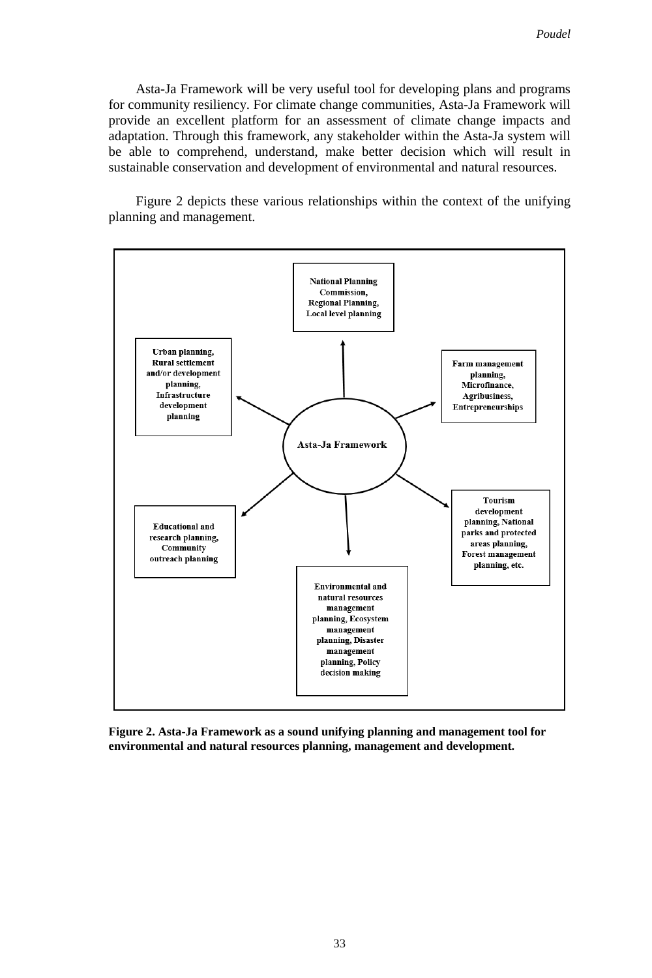Asta-Ja Framework will be very useful tool for developing plans and programs for community resiliency. For climate change communities, Asta-Ja Framework will provide an excellent platform for an assessment of climate change impacts and adaptation. Through this framework, any stakeholder within the Asta-Ja system will be able to comprehend, understand, make better decision which will result in sustainable conservation and development of environmental and natural resources.

Figure 2 depicts these various relationships within the context of the unifying planning and management.



**Figure 2. Asta-Ja Framework as a sound unifying planning and management tool for environmental and natural resources planning, management and development.**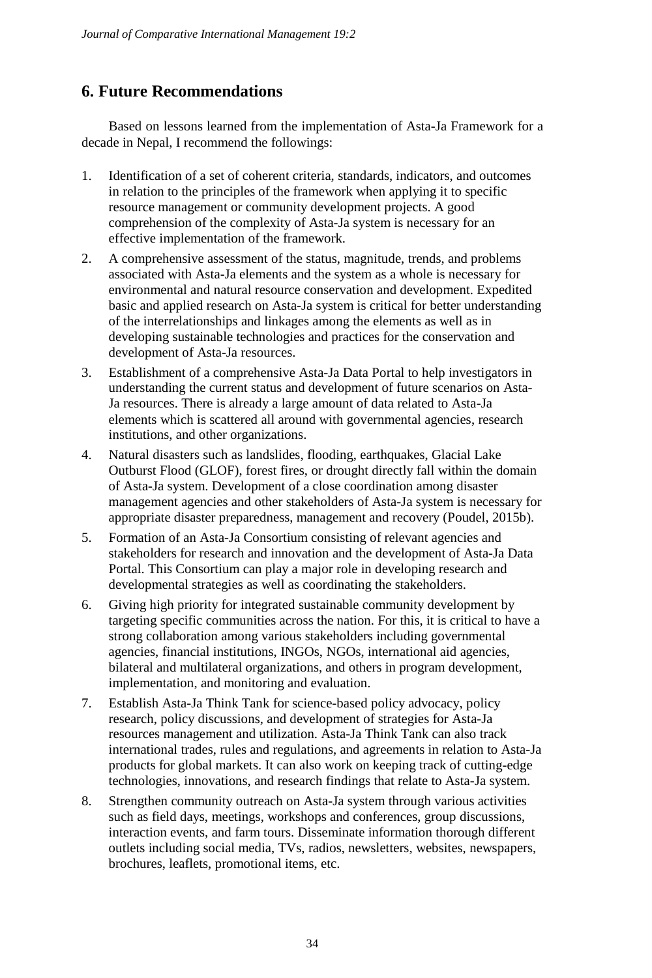# **6. Future Recommendations**

Based on lessons learned from the implementation of Asta-Ja Framework for a decade in Nepal, I recommend the followings:

- 1. Identification of a set of coherent criteria, standards, indicators, and outcomes in relation to the principles of the framework when applying it to specific resource management or community development projects. A good comprehension of the complexity of Asta-Ja system is necessary for an effective implementation of the framework.
- 2. A comprehensive assessment of the status, magnitude, trends, and problems associated with Asta-Ja elements and the system as a whole is necessary for environmental and natural resource conservation and development. Expedited basic and applied research on Asta-Ja system is critical for better understanding of the interrelationships and linkages among the elements as well as in developing sustainable technologies and practices for the conservation and development of Asta-Ja resources.
- 3. Establishment of a comprehensive Asta-Ja Data Portal to help investigators in understanding the current status and development of future scenarios on Asta-Ja resources. There is already a large amount of data related to Asta-Ja elements which is scattered all around with governmental agencies, research institutions, and other organizations.
- 4. Natural disasters such as landslides, flooding, earthquakes, Glacial Lake Outburst Flood (GLOF), forest fires, or drought directly fall within the domain of Asta-Ja system. Development of a close coordination among disaster management agencies and other stakeholders of Asta-Ja system is necessary for appropriate disaster preparedness, management and recovery (Poudel, 2015b).
- 5. Formation of an Asta-Ja Consortium consisting of relevant agencies and stakeholders for research and innovation and the development of Asta-Ja Data Portal. This Consortium can play a major role in developing research and developmental strategies as well as coordinating the stakeholders.
- 6. Giving high priority for integrated sustainable community development by targeting specific communities across the nation. For this, it is critical to have a strong collaboration among various stakeholders including governmental agencies, financial institutions, INGOs, NGOs, international aid agencies, bilateral and multilateral organizations, and others in program development, implementation, and monitoring and evaluation.
- 7. Establish Asta-Ja Think Tank for science-based policy advocacy, policy research, policy discussions, and development of strategies for Asta-Ja resources management and utilization. Asta-Ja Think Tank can also track international trades, rules and regulations, and agreements in relation to Asta-Ja products for global markets. It can also work on keeping track of cutting-edge technologies, innovations, and research findings that relate to Asta-Ja system.
- 8. Strengthen community outreach on Asta-Ja system through various activities such as field days, meetings, workshops and conferences, group discussions, interaction events, and farm tours. Disseminate information thorough different outlets including social media, TVs, radios, newsletters, websites, newspapers, brochures, leaflets, promotional items, etc.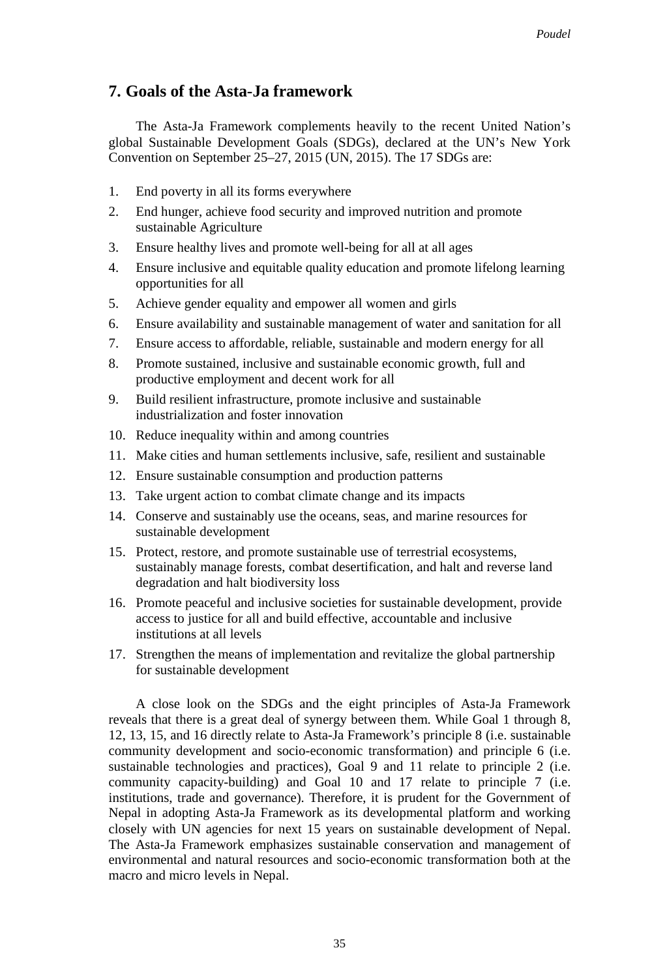## **7. Goals of the Asta-Ja framework**

The Asta-Ja Framework complements heavily to the recent United Nation's global Sustainable Development Goals (SDGs), declared at the UN's New York Convention on September 25–27, 2015 (UN, 2015). The 17 SDGs are:

- 1. End poverty in all its forms everywhere
- 2. End hunger, achieve food security and improved nutrition and promote sustainable Agriculture
- 3. Ensure healthy lives and promote well-being for all at all ages
- 4. Ensure inclusive and equitable quality education and promote lifelong learning opportunities for all
- 5. Achieve gender equality and empower all women and girls
- 6. Ensure availability and sustainable management of water and sanitation for all
- 7. Ensure access to affordable, reliable, sustainable and modern energy for all
- 8. Promote sustained, inclusive and sustainable economic growth, full and productive employment and decent work for all
- 9. Build resilient infrastructure, promote inclusive and sustainable industrialization and foster innovation
- 10. Reduce inequality within and among countries
- 11. Make cities and human settlements inclusive, safe, resilient and sustainable
- 12. Ensure sustainable consumption and production patterns
- 13. Take urgent action to combat climate change and its impacts
- 14. Conserve and sustainably use the oceans, seas, and marine resources for sustainable development
- 15. Protect, restore, and promote sustainable use of terrestrial ecosystems, sustainably manage forests, combat desertification, and halt and reverse land degradation and halt biodiversity loss
- 16. Promote peaceful and inclusive societies for sustainable development, provide access to justice for all and build effective, accountable and inclusive institutions at all levels
- 17. Strengthen the means of implementation and revitalize the global partnership for sustainable development

A close look on the SDGs and the eight principles of Asta-Ja Framework reveals that there is a great deal of synergy between them. While Goal 1 through 8, 12, 13, 15, and 16 directly relate to Asta-Ja Framework's principle 8 (i.e. sustainable community development and socio-economic transformation) and principle 6 (i.e. sustainable technologies and practices), Goal 9 and 11 relate to principle 2 (i.e. community capacity-building) and Goal 10 and 17 relate to principle 7 (i.e. institutions, trade and governance). Therefore, it is prudent for the Government of Nepal in adopting Asta-Ja Framework as its developmental platform and working closely with UN agencies for next 15 years on sustainable development of Nepal. The Asta-Ja Framework emphasizes sustainable conservation and management of environmental and natural resources and socio-economic transformation both at the macro and micro levels in Nepal.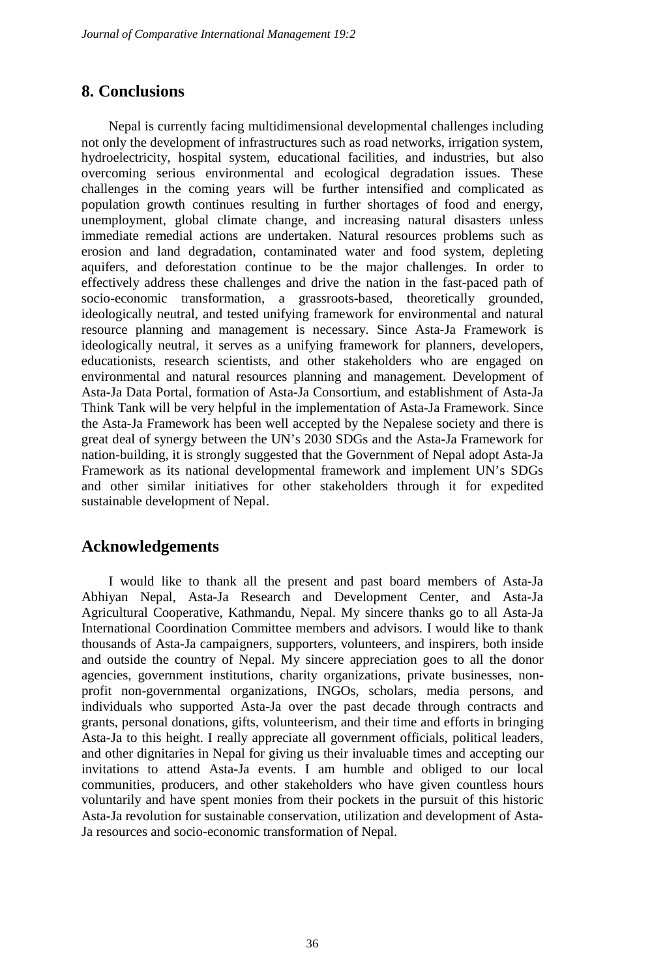## **8. Conclusions**

Nepal is currently facing multidimensional developmental challenges including not only the development of infrastructures such as road networks, irrigation system, hydroelectricity, hospital system, educational facilities, and industries, but also overcoming serious environmental and ecological degradation issues. These challenges in the coming years will be further intensified and complicated as population growth continues resulting in further shortages of food and energy, unemployment, global climate change, and increasing natural disasters unless immediate remedial actions are undertaken. Natural resources problems such as erosion and land degradation, contaminated water and food system, depleting aquifers, and deforestation continue to be the major challenges. In order to effectively address these challenges and drive the nation in the fast-paced path of socio-economic transformation, a grassroots-based, theoretically grounded, ideologically neutral, and tested unifying framework for environmental and natural resource planning and management is necessary. Since Asta-Ja Framework is ideologically neutral, it serves as a unifying framework for planners, developers, educationists, research scientists, and other stakeholders who are engaged on environmental and natural resources planning and management. Development of Asta-Ja Data Portal, formation of Asta-Ja Consortium, and establishment of Asta-Ja Think Tank will be very helpful in the implementation of Asta-Ja Framework. Since the Asta-Ja Framework has been well accepted by the Nepalese society and there is great deal of synergy between the UN's 2030 SDGs and the Asta-Ja Framework for nation-building, it is strongly suggested that the Government of Nepal adopt Asta-Ja Framework as its national developmental framework and implement UN's SDGs and other similar initiatives for other stakeholders through it for expedited sustainable development of Nepal.

## **Acknowledgements**

I would like to thank all the present and past board members of Asta-Ja Abhiyan Nepal, Asta-Ja Research and Development Center, and Asta-Ja Agricultural Cooperative, Kathmandu, Nepal. My sincere thanks go to all Asta-Ja International Coordination Committee members and advisors. I would like to thank thousands of Asta-Ja campaigners, supporters, volunteers, and inspirers, both inside and outside the country of Nepal. My sincere appreciation goes to all the donor agencies, government institutions, charity organizations, private businesses, nonprofit non-governmental organizations, INGOs, scholars, media persons, and individuals who supported Asta-Ja over the past decade through contracts and grants, personal donations, gifts, volunteerism, and their time and efforts in bringing Asta-Ja to this height. I really appreciate all government officials, political leaders, and other dignitaries in Nepal for giving us their invaluable times and accepting our invitations to attend Asta-Ja events. I am humble and obliged to our local communities, producers, and other stakeholders who have given countless hours voluntarily and have spent monies from their pockets in the pursuit of this historic Asta-Ja revolution for sustainable conservation, utilization and development of Asta-Ja resources and socio-economic transformation of Nepal.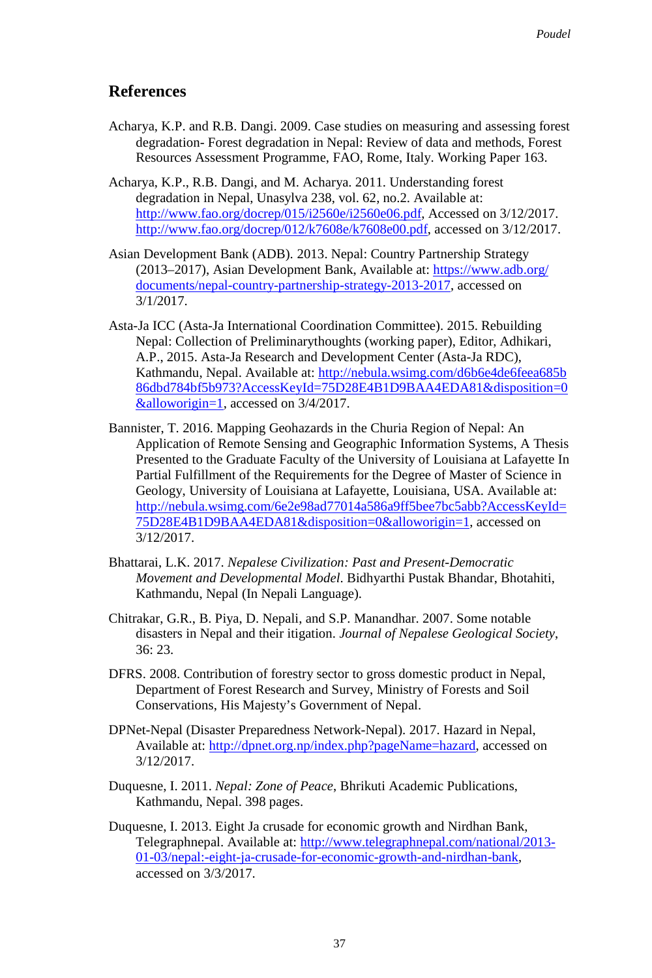## **References**

- Acharya, K.P. and R.B. Dangi. 2009. Case studies on measuring and assessing forest degradation- Forest degradation in Nepal: Review of data and methods, Forest Resources Assessment Programme, FAO, Rome, Italy. Working Paper 163.
- Acharya, K.P., R.B. Dangi, and M. Acharya. 2011. Understanding forest degradation in Nepal, Unasylva 238, vol. 62, no.2. Available at: [http://www.fao.org/docrep/015/i2560e/i2560e06.pdf,](http://www.fao.org/docrep/015/i2560e/i2560e06.pdf) Accessed on 3/12/2017. [http://www.fao.org/docrep/012/k7608e/k7608e00.pdf,](http://www.fao.org/docrep/012/k7608e/k7608e00.pdf) accessed on 3/12/2017.
- Asian Development Bank (ADB). 2013. Nepal: Country Partnership Strategy (2013–2017), Asian Development Bank, Available at: [https://www.adb.org/](https://www.adb.org/%E2%80%8Cdocuments/nepal-country-partnership-strategy-2013-2017) [documents/nepal-country-partnership-strategy-2013-2017,](https://www.adb.org/%E2%80%8Cdocuments/nepal-country-partnership-strategy-2013-2017) accessed on 3/1/2017.
- Asta-Ja ICC (Asta-Ja International Coordination Committee). 2015. Rebuilding Nepal: Collection of Preliminarythoughts (working paper), Editor, Adhikari, A.P., 2015. Asta-Ja Research and Development Center (Asta-Ja RDC), Kathmandu, Nepal. Available at: [http://nebula.wsimg.com/d6b6e4de6feea685b](http://nebula.wsimg.com/d6b6e4de6feea685b%E2%80%8C86dbd784bf5b973?AccessKeyId=75D28E4B1D9BAA4EDA81&disposition=0%E2%80%8C&alloworigin=1) [86dbd784bf5b973?AccessKeyId=75D28E4B1D9BAA4EDA81&disposition=0](http://nebula.wsimg.com/d6b6e4de6feea685b%E2%80%8C86dbd784bf5b973?AccessKeyId=75D28E4B1D9BAA4EDA81&disposition=0%E2%80%8C&alloworigin=1) [&alloworigin=1,](http://nebula.wsimg.com/d6b6e4de6feea685b%E2%80%8C86dbd784bf5b973?AccessKeyId=75D28E4B1D9BAA4EDA81&disposition=0%E2%80%8C&alloworigin=1) accessed on 3/4/2017.
- Bannister, T. 2016. Mapping Geohazards in the Churia Region of Nepal: An Application of Remote Sensing and Geographic Information Systems, A Thesis Presented to the Graduate Faculty of the University of Louisiana at Lafayette In Partial Fulfillment of the Requirements for the Degree of Master of Science in Geology, University of Louisiana at Lafayette, Louisiana, USA. Available at: [http://nebula.wsimg.com/6e2e98ad77014a586a9ff5bee7bc5abb?AccessKeyId=](http://nebula.wsimg.com/6e2e98ad77014a586a9ff5bee7bc5abb?AccessKeyId=75D28E4B1D9BAA4EDA81&disposition=0&alloworigin=1) [75D28E4B1D9BAA4EDA81&disposition=0&alloworigin=1,](http://nebula.wsimg.com/6e2e98ad77014a586a9ff5bee7bc5abb?AccessKeyId=75D28E4B1D9BAA4EDA81&disposition=0&alloworigin=1) accessed on 3/12/2017.
- Bhattarai, L.K. 2017. *Nepalese Civilization: Past and Present-Democratic Movement and Developmental Model*. Bidhyarthi Pustak Bhandar, Bhotahiti, Kathmandu, Nepal (In Nepali Language).
- Chitrakar, G.R., B. Piya, D. Nepali, and S.P. Manandhar. 2007. Some notable disasters in Nepal and their itigation. *Journal of Nepalese Geological Society*, 36: 23.
- DFRS. 2008. Contribution of forestry sector to gross domestic product in Nepal, Department of Forest Research and Survey, Ministry of Forests and Soil Conservations, His Majesty's Government of Nepal.
- DPNet-Nepal (Disaster Preparedness Network-Nepal). 2017. Hazard in Nepal, Available at[: http://dpnet.org.np/index.php?pageName=hazard,](http://dpnet.org.np/index.php?pageName=hazard) accessed on 3/12/2017.
- Duquesne, I. 2011. *Nepal: Zone of Peace*, Bhrikuti Academic Publications, Kathmandu, Nepal. 398 pages.
- Duquesne, I. 2013. Eight Ja crusade for economic growth and Nirdhan Bank, Telegraphnepal. Available at: [http://www.telegraphnepal.com/national/2013-](http://www.telegraphnepal.com/national/2013-01-03/nepal:-eight-ja-crusade-for-economic-growth-and-nirdhan-bank) [01-03/nepal:-eight-ja-crusade-for-economic-growth-and-nirdhan-bank,](http://www.telegraphnepal.com/national/2013-01-03/nepal:-eight-ja-crusade-for-economic-growth-and-nirdhan-bank)  accessed on 3/3/2017.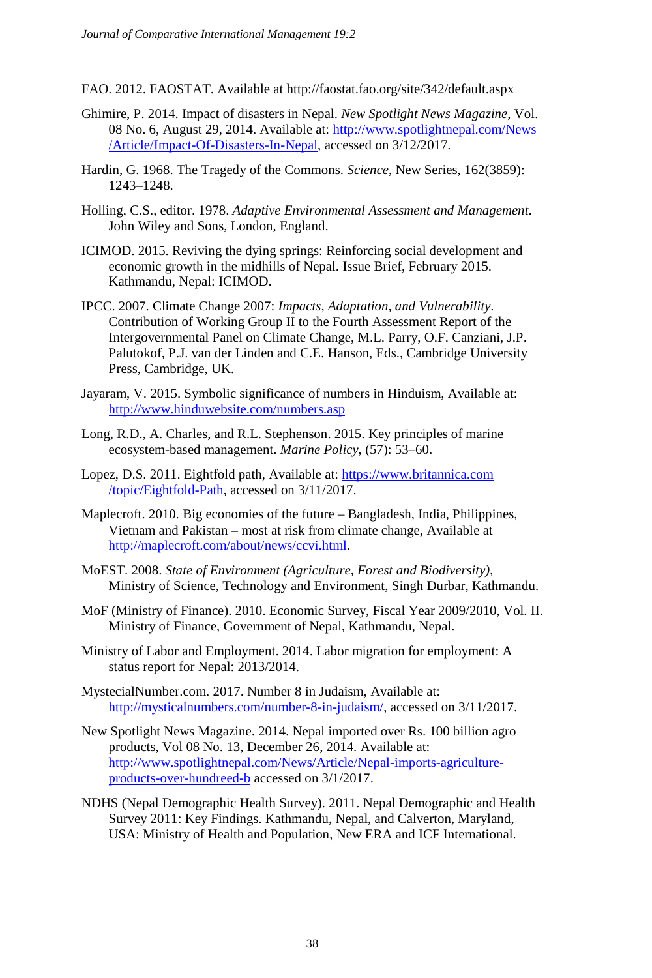- FAO. 2012. FAOSTAT. Available at http://faostat.fao.org/site/342/default.aspx
- Ghimire, P. 2014. Impact of disasters in Nepal. *New Spotlight News Magazine*, Vol. 08 No. 6, August 29, 2014. Available at[: http://www.spotlightnepal.com/News](http://www.spotlightnepal.com/News/Article/Impact-Of-Disasters-In-Nepal) [/Article/Impact-Of-Disasters-In-Nepal,](http://www.spotlightnepal.com/News/Article/Impact-Of-Disasters-In-Nepal) accessed on 3/12/2017.
- Hardin, G. 1968. The Tragedy of the Commons. *Science*, New Series, 162(3859): 1243–1248.
- Holling, C.S., editor. 1978. *Adaptive Environmental Assessment and Management*. John Wiley and Sons, London, England.
- ICIMOD. 2015. Reviving the dying springs: Reinforcing social development and economic growth in the midhills of Nepal. Issue Brief, February 2015. Kathmandu, Nepal: ICIMOD.
- IPCC. 2007. Climate Change 2007: *Impacts, Adaptation, and Vulnerability*. Contribution of Working Group II to the Fourth Assessment Report of the Intergovernmental Panel on Climate Change, M.L. Parry, O.F. Canziani, J.P. Palutokof, P.J. van der Linden and C.E. Hanson, Eds., Cambridge University Press, Cambridge, UK.
- Jayaram, V. 2015. Symbolic significance of numbers in Hinduism, Available at: <http://www.hinduwebsite.com/numbers.asp>
- Long, R.D., A. Charles, and R.L. Stephenson. 2015. Key principles of marine ecosystem-based management. *Marine Policy*, (57): 53–60.
- Lopez, D.S. 2011. Eightfold path, Available at[: https://www.britannica.com](https://www.britannica.com/topic/Eightfold-Path) [/topic/Eightfold-Path,](https://www.britannica.com/topic/Eightfold-Path) accessed on 3/11/2017.
- Maplecroft. 2010. Big economies of the future Bangladesh, India, Philippines, Vietnam and Pakistan – most at risk from climate change, Available at [http://maplecroft.com/about/news/ccvi.html.](http://maplecroft.com/about/news/ccvi.html)
- MoEST. 2008. *State of Environment (Agriculture, Forest and Biodiversity)*, Ministry of Science, Technology and Environment, Singh Durbar, Kathmandu.
- MoF (Ministry of Finance). 2010. Economic Survey, Fiscal Year 2009/2010, Vol. II. Ministry of Finance, Government of Nepal, Kathmandu, Nepal.
- Ministry of Labor and Employment. 2014. Labor migration for employment: A status report for Nepal: 2013/2014.
- MystecialNumber.com. 2017. Number 8 in Judaism, Available at: [http://mysticalnumbers.com/number-8-in-judaism/,](http://mysticalnumbers.com/number-8-in-judaism/) accessed on 3/11/2017.
- New Spotlight News Magazine. 2014. Nepal imported over Rs. 100 billion agro products, Vol 08 No. 13, December 26, 2014. Available at: [http://www.spotlightnepal.com/News/Article/Nepal-imports-agriculture](http://www.spotlightnepal.com/News/Article/Nepal-imports-agriculture-products-over-hundreed-b)[products-over-hundreed-b](http://www.spotlightnepal.com/News/Article/Nepal-imports-agriculture-products-over-hundreed-b) accessed on 3/1/2017.
- NDHS (Nepal Demographic Health Survey). 2011. Nepal Demographic and Health Survey 2011: Key Findings. Kathmandu, Nepal, and Calverton, Maryland, USA: Ministry of Health and Population, New ERA and ICF International.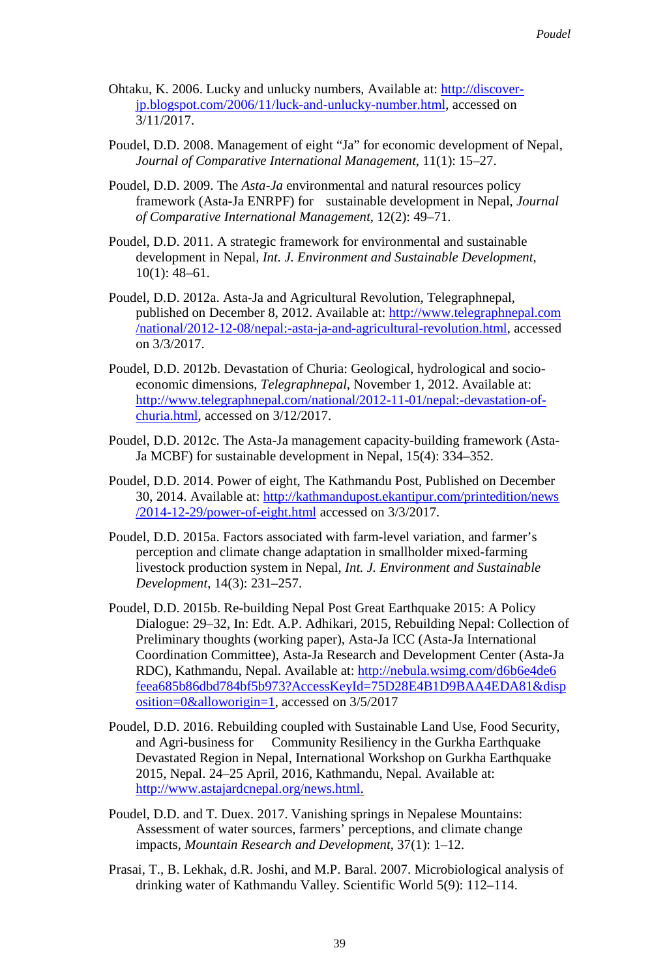- Ohtaku, K. 2006. Lucky and unlucky numbers, Available at: [http://discover](http://discover-jp.blogspot.com/2006/11/luck-and-unlucky-number.html)[jp.blogspot.com/2006/11/luck-and-unlucky-number.html,](http://discover-jp.blogspot.com/2006/11/luck-and-unlucky-number.html) accessed on 3/11/2017.
- Poudel, D.D. 2008. Management of eight "Ja" for economic development of Nepal, *Journal of Comparative International Management*, 11(1): 15–27.
- Poudel, D.D. 2009. The *Asta-Ja* environmental and natural resources policy framework (Asta-Ja ENRPF) for sustainable development in Nepal, *Journal of Comparative International Management*, 12(2): 49–71.
- Poudel, D.D. 2011. A strategic framework for environmental and sustainable development in Nepal, *Int. J. Environment and Sustainable Development*, 10(1): 48–61.
- Poudel, D.D. 2012a. Asta-Ja and Agricultural Revolution, Telegraphnepal, published on December 8, 2012. Available at[: http://www.telegraphnepal.com](http://www.telegraphnepal.com/national/2012-12-08/nepal:-asta-ja-and-agricultural-revolution.html) [/national/2012-12-08/nepal:-asta-ja-and-agricultural-revolution.html,](http://www.telegraphnepal.com/national/2012-12-08/nepal:-asta-ja-and-agricultural-revolution.html) accessed on 3/3/2017.
- Poudel, D.D. 2012b. Devastation of Churia: Geological, hydrological and socioeconomic dimensions, *Telegraphnepal*, November 1, 2012. Available at: [http://www.telegraphnepal.com/national/2012-11-01/nepal:-devastation-of](http://www.telegraphnepal.com/national/2012-11-01/nepal:-devastation-of-churia.html)[churia.html,](http://www.telegraphnepal.com/national/2012-11-01/nepal:-devastation-of-churia.html) accessed on 3/12/2017.
- Poudel, D.D. 2012c. The Asta-Ja management capacity-building framework (Asta-Ja MCBF) for sustainable development in Nepal, 15(4): 334–352.
- Poudel, D.D. 2014. Power of eight, The Kathmandu Post, Published on December 30, 2014. Available at[: http://kathmandupost.ekantipur.com/printedition/news](http://kathmandupost.ekantipur.com/printedition/news%E2%80%8C/2014-12-29/power-of-eight.html) [/2014-12-29/power-of-eight.html](http://kathmandupost.ekantipur.com/printedition/news%E2%80%8C/2014-12-29/power-of-eight.html) accessed on 3/3/2017.
- Poudel, D.D. 2015a. Factors associated with farm-level variation, and farmer's perception and climate change adaptation in smallholder mixed-farming livestock production system in Nepal, *Int. J. Environment and Sustainable Development*, 14(3): 231–257.
- Poudel, D.D. 2015b. Re-building Nepal Post Great Earthquake 2015: A Policy Dialogue: 29–32, In: Edt. A.P. Adhikari, 2015, Rebuilding Nepal: Collection of Preliminary thoughts (working paper), Asta-Ja ICC (Asta-Ja International Coordination Committee), Asta-Ja Research and Development Center (Asta-Ja RDC), Kathmandu, Nepal. Available at: [http://nebula.wsimg.com/d6b6e4de6](http://nebula.wsimg.com/d6b6e4de6%E2%80%8Cfeea685b86dbd784bf5b973?AccessKeyId=75D28E4B1D9BAA4EDA81&disposition=0&alloworigin=1) [feea685b86dbd784bf5b973?AccessKeyId=75D28E4B1D9BAA4EDA81&disp](http://nebula.wsimg.com/d6b6e4de6%E2%80%8Cfeea685b86dbd784bf5b973?AccessKeyId=75D28E4B1D9BAA4EDA81&disposition=0&alloworigin=1) [osition=0&alloworigin=1,](http://nebula.wsimg.com/d6b6e4de6%E2%80%8Cfeea685b86dbd784bf5b973?AccessKeyId=75D28E4B1D9BAA4EDA81&disposition=0&alloworigin=1) accessed on 3/5/2017
- Poudel, D.D. 2016. Rebuilding coupled with Sustainable Land Use, Food Security, and Agri-business for Community Resiliency in the Gurkha Earthquake Devastated Region in Nepal, International Workshop on Gurkha Earthquake 2015, Nepal. 24–25 April, 2016, Kathmandu, Nepal. Available at: [http://www.astajardcnepal.org/news.html.](http://www.astajardcnepal.org/news.html)
- Poudel, D.D. and T. Duex. 2017. Vanishing springs in Nepalese Mountains: Assessment of water sources, farmers' perceptions, and climate change impacts, *Mountain Research and Development*, 37(1): 1–12.
- Prasai, T., B. Lekhak, d.R. Joshi, and M.P. Baral. 2007. Microbiological analysis of drinking water of Kathmandu Valley. Scientific World 5(9): 112–114.